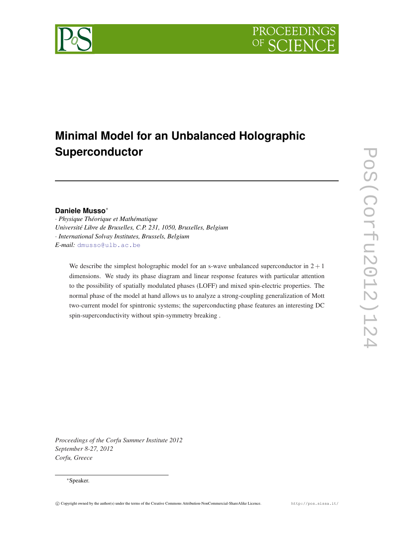

# **Minimal Model for an Unbalanced Holographic Superconductor**

# **Daniele Musso**∗

· *Physique Théorique et Mathématique Université Libre de Bruxelles, C.P. 231, 1050, Bruxelles, Belgium* · *International Solvay Institutes, Brussels, Belgium E-mail:* [dmusso@ulb.ac.be](mailto:dmusso@ulb.ac.be)

We describe the simplest holographic model for an s-wave unbalanced superconductor in  $2 + 1$ dimensions. We study its phase diagram and linear response features with particular attention to the possibility of spatially modulated phases (LOFF) and mixed spin-electric properties. The normal phase of the model at hand allows us to analyze a strong-coupling generalization of Mott two-current model for spintronic systems; the superconducting phase features an interesting DC spin-superconductivity without spin-symmetry breaking .

Pos(corfu2012)124 PoS(Corfu2012)124

*Proceedings of the Corfu Summer Institute 2012 September 8-27, 2012 Corfu, Greece*

#### ∗Speaker.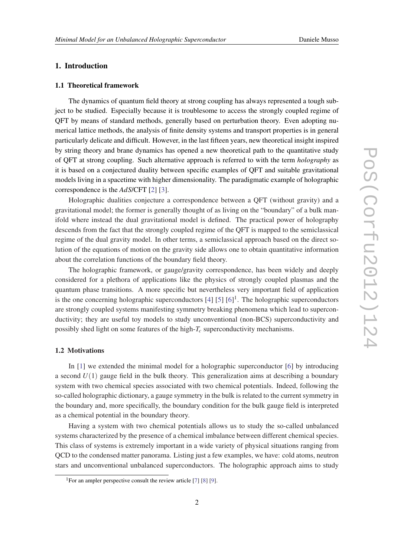# 1. Introduction

#### 1.1 Theoretical framework

The dynamics of quantum field theory at strong coupling has always represented a tough subject to be studied. Especially because it is troublesome to access the strongly coupled regime of QFT by means of standard methods, generally based on perturbation theory. Even adopting numerical lattice methods, the analysis of finite density systems and transport properties is in general particularly delicate and difficult. However, in the last fifteen years, new theoretical insight inspired by string theory and brane dynamics has opened a new theoretical path to the quantitative study of QFT at strong coupling. Such alternative approach is referred to with the term *holography* as it is based on a conjectured duality between specific examples of QFT and suitable gravitational models living in a spacetime with higher dimensionality. The paradigmatic example of holographic correspondence is the *AdS*/CFT [\[2\]](#page-11-0) [[3](#page-11-0)].

Holographic dualities conjecture a correspondence between a QFT (without gravity) and a gravitational model; the former is generally thought of as living on the "boundary" of a bulk manifold where instead the dual gravitational model is defined. The practical power of holography descends from the fact that the strongly coupled regime of the QFT is mapped to the semiclassical regime of the dual gravity model. In other terms, a semiclassical approach based on the direct solution of the equations of motion on the gravity side allows one to obtain quantitative information about the correlation functions of the boundary field theory.

The holographic framework, or gauge/gravity correspondence, has been widely and deeply considered for a plethora of applications like the physics of strongly coupled plasmas and the quantum phase transitions. A more specific but nevertheless very important field of application is the one concerning holographic superconductors  $[4]$   $[5]$   $[6]$  $[6]$  $[6]$ <sup>1</sup>. The holographic superconductors are strongly coupled systems manifesting symmetry breaking phenomena which lead to superconductivity; they are useful toy models to study unconventional (non-BCS) superconductivity and possibly shed light on some features of the high-*T<sup>c</sup>* superconductivity mechanisms.

#### 1.2 Motivations

In [[1](#page-11-0)] we extended the minimal model for a holographic superconductor [\[6\]](#page-12-0) by introducing a second  $U(1)$  gauge field in the bulk theory. This generalization aims at describing a boundary system with two chemical species associated with two chemical potentials. Indeed, following the so-called holographic dictionary, a gauge symmetry in the bulk is related to the current symmetry in the boundary and, more specifically, the boundary condition for the bulk gauge field is interpreted as a chemical potential in the boundary theory.

Having a system with two chemical potentials allows us to study the so-called unbalanced systems characterized by the presence of a chemical imbalance between different chemical species. This class of systems is extremely important in a wide variety of physical situations ranging from QCD to the condensed matter panorama. Listing just a few examples, we have: cold atoms, neutron stars and unconventional unbalanced superconductors. The holographic approach aims to study

<sup>&</sup>lt;sup>1</sup>For an ampler perspective consult the review article  $[7]$  $[7]$  $[7]$   $[8]$  $[8]$  $[8]$   $[9]$ .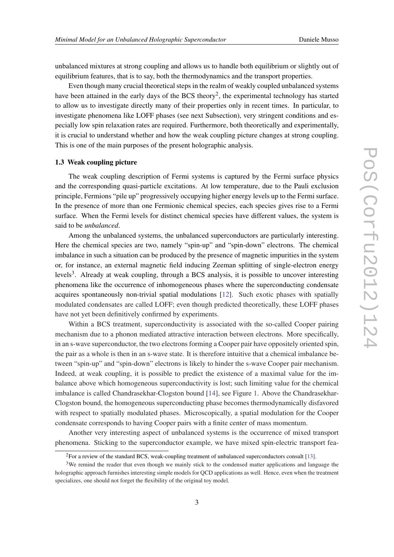unbalanced mixtures at strong coupling and allows us to handle both equilibrium or slightly out of equilibrium features, that is to say, both the thermodynamics and the transport properties.

Even though many crucial theoretical steps in the realm of weakly coupled unbalanced systems have been attained in the early days of the BCS theory<sup>2</sup>, the experimental technology has started to allow us to investigate directly many of their properties only in recent times. In particular, to investigate phenomena like LOFF phases (see next Subsection), very stringent conditions and especially low spin relaxation rates are required. Furthermore, both theoretically and experimentally, it is crucial to understand whether and how the weak coupling picture changes at strong coupling. This is one of the main purposes of the present holographic analysis.

#### 1.3 Weak coupling picture

The weak coupling description of Fermi systems is captured by the Fermi surface physics and the corresponding quasi-particle excitations. At low temperature, due to the Pauli exclusion principle, Fermions "pile up" progressively occupying higher energy levels up to the Fermi surface. In the presence of more than one Fermionic chemical species, each species gives rise to a Fermi surface. When the Fermi levels for distinct chemical species have different values, the system is said to be *unbalanced*.

Among the unbalanced systems, the unbalanced superconductors are particularly interesting. Here the chemical species are two, namely "spin-up" and "spin-down" electrons. The chemical imbalance in such a situation can be produced by the presence of magnetic impurities in the system or, for instance, an external magnetic field inducing Zeeman splitting of single-electron energy levels<sup>3</sup>. Already at weak coupling, through a BCS analysis, it is possible to uncover interesting phenomena like the occurrence of inhomogeneous phases where the superconducting condensate acquires spontaneously non-trivial spatial modulations [[12](#page-12-0)]. Such exotic phases with spatially modulated condensates are called LOFF; even though predicted theoretically, these LOFF phases have not yet been definitively confirmed by experiments.

Within a BCS treatment, superconductivity is associated with the so-called Cooper pairing mechanism due to a phonon mediated attractive interaction between electrons. More specifically, in an s-wave superconductor, the two electrons forming a Cooper pair have oppositely oriented spin, the pair as a whole is then in an s-wave state. It is therefore intuitive that a chemical imbalance between "spin-up" and "spin-down" electrons is likely to hinder the s-wave Cooper pair mechanism. Indeed, at weak coupling, it is possible to predict the existence of a maximal value for the imbalance above which homogeneous superconductivity is lost; such limiting value for the chemical imbalance is called Chandrasekhar-Clogston bound [[14\]](#page-12-0), see Figure [1.](#page-3-0) Above the Chandrasekhar-Clogston bound, the homogeneous superconducting phase becomes thermodynamically disfavored with respect to spatially modulated phases. Microscopically, a spatial modulation for the Cooper condensate corresponds to having Cooper pairs with a finite center of mass momentum.

Another very interesting aspect of unbalanced systems is the occurrence of mixed transport phenomena. Sticking to the superconductor example, we have mixed spin-electric transport fea-

<sup>&</sup>lt;sup>2</sup>For a review of the standard BCS, weak-coupling treatment of unbalanced superconductors consult [\[13](#page-12-0)].

<sup>&</sup>lt;sup>3</sup>We remind the reader that even though we mainly stick to the condensed matter applications and language the holographic approach furnishes interesting simple models for QCD applications as well. Hence, even when the treatment specializes, one should not forget the flexibility of the original toy model.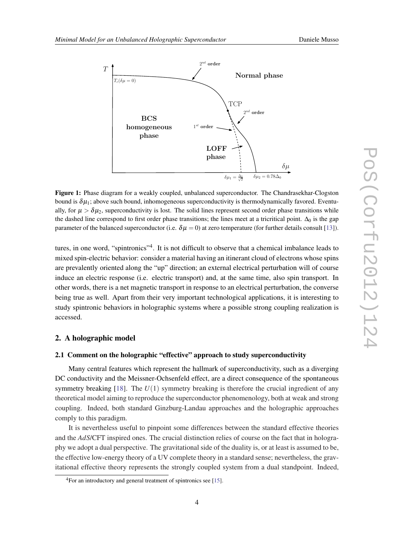<span id="page-3-0"></span>

Figure 1: Phase diagram for a weakly coupled, unbalanced superconductor. The Chandrasekhar-Clogston bound is  $\delta \mu_1$ ; above such bound, inhomogeneous superconductivity is thermodynamically favored. Eventually, for  $\mu > \delta \mu_2$ , superconductivity is lost. The solid lines represent second order phase transitions while the dashed line correspond to first order phase transitions; the lines meet at a tricritical point.  $\Delta_0$  is the gap parameter of the balanced superconductor (i.e.  $\delta \mu = 0$ ) at zero temperature (for further details consult [[13\]](#page-12-0)).

tures, in one word, "spintronics"<sup>4</sup>. It is not difficult to observe that a chemical imbalance leads to mixed spin-electric behavior: consider a material having an itinerant cloud of electrons whose spins are prevalently oriented along the "up" direction; an external electrical perturbation will of course induce an electric response (i.e. electric transport) and, at the same time, also spin transport. In other words, there is a net magnetic transport in response to an electrical perturbation, the converse being true as well. Apart from their very important technological applications, it is interesting to study spintronic behaviors in holographic systems where a possible strong coupling realization is accessed.

# 2. A holographic model

#### 2.1 Comment on the holographic "effective" approach to study superconductivity

Many central features which represent the hallmark of superconductivity, such as a diverging DC conductivity and the Meissner-Ochsenfeld effect, are a direct consequence of the spontaneous symmetry breaking  $[18]$  $[18]$  $[18]$ . The  $U(1)$  symmetry breaking is therefore the crucial ingredient of any theoretical model aiming to reproduce the superconductor phenomenology, both at weak and strong coupling. Indeed, both standard Ginzburg-Landau approaches and the holographic approaches comply to this paradigm.

It is nevertheless useful to pinpoint some differences between the standard effective theories and the *AdS*/CFT inspired ones. The crucial distinction relies of course on the fact that in holography we adopt a dual perspective. The gravitational side of the duality is, or at least is assumed to be, the effective low-energy theory of a UV complete theory in a standard sense; nevertheless, the gravitational effective theory represents the strongly coupled system from a dual standpoint. Indeed,

<sup>4</sup>For an introductory and general treatment of spintronics see [\[15](#page-12-0)].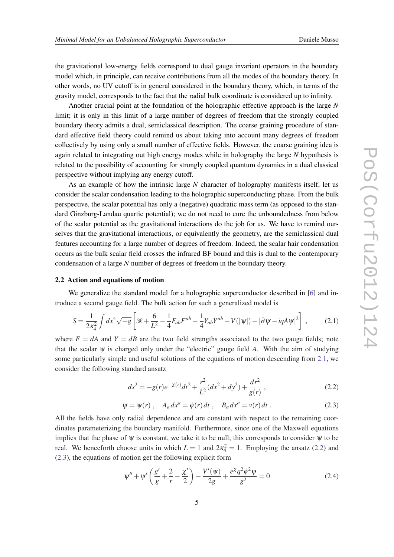the gravitational low-energy fields correspond to dual gauge invariant operators in the boundary model which, in principle, can receive contributions from all the modes of the boundary theory. In other words, no UV cutoff is in general considered in the boundary theory, which, in terms of the gravity model, corresponds to the fact that the radial bulk coordinate is considered up to infinity.

Another crucial point at the foundation of the holographic effective approach is the large *N* limit; it is only in this limit of a large number of degrees of freedom that the strongly coupled boundary theory admits a dual, semiclassical description. The coarse graining procedure of standard effective field theory could remind us about taking into account many degrees of freedom collectively by using only a small number of effective fields. However, the coarse graining idea is again related to integrating out high energy modes while in holography the large *N* hypothesis is related to the possibility of accounting for strongly coupled quantum dynamics in a dual classical perspective without implying any energy cutoff.

As an example of how the intrinsic large *N* character of holography manifests itself, let us consider the scalar condensation leading to the holographic superconducting phase. From the bulk perspective, the scalar potential has only a (negative) quadratic mass term (as opposed to the standard Ginzburg-Landau quartic potential); we do not need to cure the unboundedness from below of the scalar potential as the gravitational interactions do the job for us. We have to remind ourselves that the gravitational interactions, or equivalently the geometry, are the semiclassical dual features accounting for a large number of degrees of freedom. Indeed, the scalar hair condensation occurs as the bulk scalar field crosses the infrared BF bound and this is dual to the contemporary condensation of a large *N* number of degrees of freedom in the boundary theory.

#### 2.2 Action and equations of motion

We generalize the standard model for a holographic superconductor described in [\[6\]](#page-12-0) and introduce a second gauge field. The bulk action for such a generalized model is

$$
S = \frac{1}{2\kappa_4^2} \int dx^4 \sqrt{-g} \left[ \mathcal{R} + \frac{6}{L^2} - \frac{1}{4} F_{ab} F^{ab} - \frac{1}{4} Y_{ab} Y^{ab} - V(|\psi|) - |\partial \psi - i q A \psi|^2 \right] \,,\tag{2.1}
$$

where  $F = dA$  and  $Y = dB$  are the two field strengths associated to the two gauge fields; note that the scalar  $\psi$  is charged only under the "electric" gauge field A. With the aim of studying some particularly simple and useful solutions of the equations of motion descending from 2.1, we consider the following standard ansatz

$$
ds^{2} = -g(r)e^{-\chi(r)}dt^{2} + \frac{r^{2}}{L^{2}}(dx^{2} + dy^{2}) + \frac{dr^{2}}{g(r)},
$$
\n(2.2)

$$
\Psi = \Psi(r) , \quad A_a dx^a = \phi(r) dt , \quad B_a dx^a = v(r) dt . \tag{2.3}
$$

All the fields have only radial dependence and are constant with respect to the remaining coordinates parameterizing the boundary manifold. Furthermore, since one of the Maxwell equations implies that the phase of  $\psi$  is constant, we take it to be null; this corresponds to consider  $\psi$  to be real. We henceforth choose units in which  $L = 1$  and  $2\kappa_4^2 = 1$ . Employing the ansatz (2.2) and (2.3), the equations of motion get the following explicit form

$$
\Psi'' + \Psi' \left( \frac{g'}{g} + \frac{2}{r} - \frac{\chi'}{2} \right) - \frac{V'(\Psi)}{2g} + \frac{e^{\chi} q^2 \phi^2 \Psi}{g^2} = 0
$$
\n(2.4)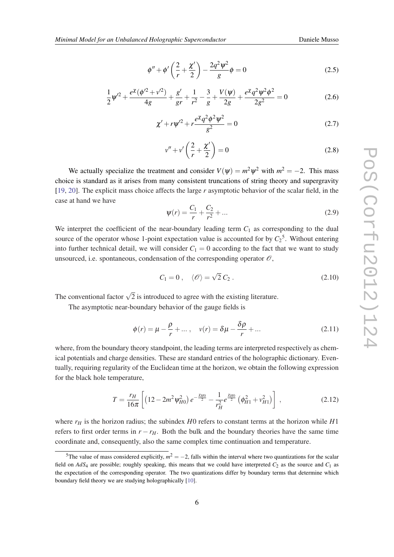$$
\frac{1}{2}\psi'^2 + \frac{e^{\chi}(\phi'^2 + v'^2)}{4g} + \frac{g'}{gr} + \frac{1}{r^2} - \frac{3}{g} + \frac{V(\psi)}{2g} + \frac{e^{\chi}q^2\psi^2\phi^2}{2g^2} = 0
$$
\n(2.6)

$$
\chi' + r\psi'^2 + r\frac{e^{\chi}q^2\phi^2\psi^2}{g^2} = 0
$$
\n(2.7)

$$
v'' + v'\left(\frac{2}{r} + \frac{\chi'}{2}\right) = 0\tag{2.8}
$$

We actually specialize the treatment and consider  $V(\psi) = m^2 \psi^2$  with  $m^2 = -2$ . This mass choice is standard as it arises from many consistent truncations of string theory and supergravity [[19,](#page-13-0) [20](#page-13-0)]. The explicit mass choice affects the large *r* asymptotic behavior of the scalar field, in the case at hand we have

$$
\psi(r) = \frac{C_1}{r} + \frac{C_2}{r^2} + \dots \tag{2.9}
$$

We interpret the coefficient of the near-boundary leading term  $C_1$  as corresponding to the dual source of the operator whose 1-point expectation value is accounted for by  $C_2^5$ . Without entering into further technical detail, we will consider  $C_1 = 0$  according to the fact that we want to study unsourced, i.e. spontaneous, condensation of the corresponding operator  $\mathcal{O}$ ,

$$
C_1 = 0 \,, \quad \langle \mathcal{O} \rangle = \sqrt{2} C_2 \,. \tag{2.10}
$$

The conventional factor  $\sqrt{2}$  is introduced to agree with the existing literature.

The asymptotic near-boundary behavior of the gauge fields is

$$
\phi(r) = \mu - \frac{\rho}{r} + \dots, \quad v(r) = \delta\mu - \frac{\delta\rho}{r} + \dots
$$
\n(2.11)

where, from the boundary theory standpoint, the leading terms are interpreted respectively as chemical potentials and charge densities. These are standard entries of the holographic dictionary. Eventually, requiring regularity of the Euclidean time at the horizon, we obtain the following expression for the black hole temperature,

$$
T = \frac{r_H}{16\pi} \left[ \left( 12 - 2m^2 \psi_{H0}^2 \right) e^{-\frac{\chi_{H0}}{2}} - \frac{1}{r_H^2} e^{\frac{\chi_{H0}}{2}} \left( \phi_{H1}^2 + v_{H1}^2 \right) \right] \,, \tag{2.12}
$$

where *r<sup>H</sup>* is the horizon radius; the subindex *H*0 refers to constant terms at the horizon while *H*1 refers to first order terms in  $r - r_H$ . Both the bulk and the boundary theories have the same time coordinate and, consequently, also the same complex time continuation and temperature.

<sup>&</sup>lt;sup>5</sup>The value of mass considered explicitly,  $m^2 = -2$ , falls within the interval where two quantizations for the scalar field on  $AdS_4$  are possible; roughly speaking, this means that we could have interpreted  $C_2$  as the source and  $C_1$  as the expectation of the corresponding operator. The two quantizations differ by boundary terms that determine which boundary field theory we are studying holographically [\[10](#page-12-0)].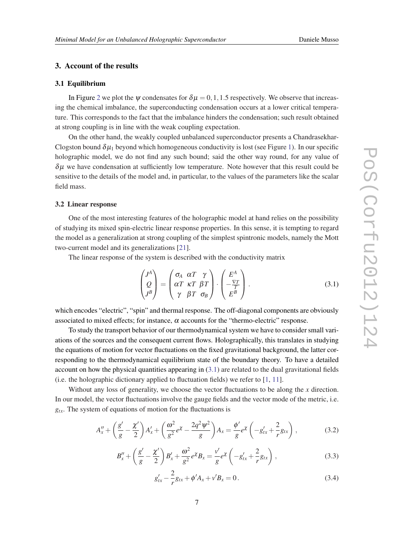# <span id="page-6-0"></span>3. Account of the results

#### 3.1 Equilibrium

In Figure [2](#page-8-0) we plot the  $\psi$  condensates for  $\delta \mu = 0, 1, 1.5$  respectively. We observe that increasing the chemical imbalance, the superconducting condensation occurs at a lower critical temperature. This corresponds to the fact that the imbalance hinders the condensation; such result obtained at strong coupling is in line with the weak coupling expectation.

On the other hand, the weakly coupled unbalanced superconductor presents a Chandrasekhar-Clogston bound  $\delta \mu_1$  beyond which homogeneous conductivity is lost (see Figure [1\)](#page-3-0). In our specific holographic model, we do not find any such bound; said the other way round, for any value of  $\delta \mu$  we have condensation at sufficiently low temperature. Note however that this result could be sensitive to the details of the model and, in particular, to the values of the parameters like the scalar field mass.

#### 3.2 Linear response

One of the most interesting features of the holographic model at hand relies on the possibility of studying its mixed spin-electric linear response properties. In this sense, it is tempting to regard the model as a generalization at strong coupling of the simplest spintronic models, namely the Mott two-current model and its generalizations [[21\]](#page-13-0).

The linear response of the system is described with the conductivity matrix

$$
\begin{pmatrix} J^A \\ Q \\ J^B \end{pmatrix} = \begin{pmatrix} \sigma_A & \alpha T & \gamma \\ \alpha T & \kappa T & \beta T \\ \gamma & \beta T & \sigma_B \end{pmatrix} \cdot \begin{pmatrix} E^A \\ -\frac{\nabla T}{T} \\ E^B \end{pmatrix} . \tag{3.1}
$$

which encodes "electric", "spin" and thermal response. The off-diagonal components are obviously associated to mixed effects; for instance,  $\alpha$  accounts for the "thermo-electric" response.

To study the transport behavior of our thermodynamical system we have to consider small variations of the sources and the consequent current flows. Holographically, this translates in studying the equations of motion for vector fluctuations on the fixed gravitational background, the latter corresponding to the thermodynamical equilibrium state of the boundary theory. To have a detailed account on how the physical quantities appearing in (3.1) are related to the dual gravitational fields (i.e. the holographic dictionary applied to fluctuation fields) we refer to [[1](#page-11-0), [11](#page-12-0)].

Without any loss of generality, we choose the vector fluctuations to be along the *x* direction. In our model, the vector fluctuations involve the gauge fields and the vector mode of the metric, i.e. *gtx*. The system of equations of motion for the fluctuations is

$$
A''_x + \left(\frac{g'}{g} - \frac{\chi'}{2}\right) A'_x + \left(\frac{\omega^2}{g^2} e^{\chi} - \frac{2q^2 \psi^2}{g}\right) A_x = \frac{\phi'}{g} e^{\chi} \left(-g'_{tx} + \frac{2}{r} g_{tx}\right),\tag{3.2}
$$

$$
B''_x + \left(\frac{g'}{g} - \frac{\chi'}{2}\right) B'_x + \frac{\omega^2}{g^2} e^{\chi} B_x = \frac{v'}{g} e^{\chi} \left(-g'_{tx} + \frac{2}{r} g_{tx}\right),\tag{3.3}
$$

$$
g'_{tx} - \frac{2}{r}g_{tx} + \phi' A_x + v' B_x = 0.
$$
 (3.4)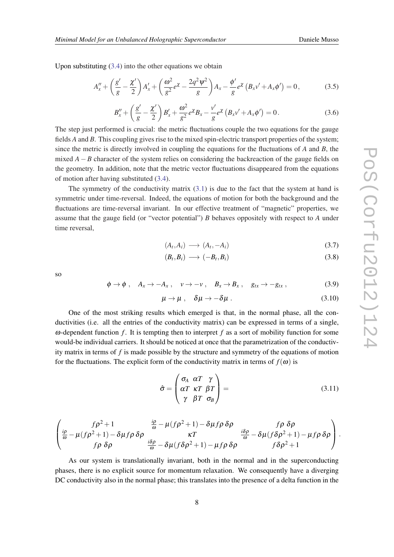Upon substituting  $(3.4)$  $(3.4)$  $(3.4)$  into the other equations we obtain

$$
A''_x + \left(\frac{g'}{g} - \frac{\chi'}{2}\right)A'_x + \left(\frac{\omega^2}{g^2}e^{\chi} - \frac{2q^2\psi^2}{g}\right)A_x - \frac{\phi'}{g}e^{\chi}\left(B_xv' + A_x\phi'\right) = 0, \tag{3.5}
$$

$$
B''_x + \left(\frac{g'}{g} - \frac{\chi'}{2}\right) B'_x + \frac{\omega^2}{g^2} e^{\chi} B_x - \frac{\nu'}{g} e^{\chi} \left(B_x \nu' + A_x \phi'\right) = 0. \tag{3.6}
$$

The step just performed is crucial: the metric fluctuations couple the two equations for the gauge fields *A* and *B*. This coupling gives rise to the mixed spin-electric transport properties of the system; since the metric is directly involved in coupling the equations for the fluctuations of *A* and *B*, the mixed  $A - B$  character of the system relies on considering the backreaction of the gauge fields on the geometry. In addition, note that the metric vector fluctuations disappeared from the equations of motion after having substituted [\(3.4\)](#page-6-0).

The symmetry of the conductivity matrix  $(3.1)$  $(3.1)$  $(3.1)$  is due to the fact that the system at hand is symmetric under time-reversal. Indeed, the equations of motion for both the background and the fluctuations are time-reversal invariant. In our effective treatment of "magnetic" properties, we assume that the gauge field (or "vector potential") *B* behaves oppositely with respect to *A* under time reversal,

$$
(A_t, A_i) \longrightarrow (A_t, -A_i) \tag{3.7}
$$

$$
(B_t, B_i) \longrightarrow (-B_t, B_i) \tag{3.8}
$$

so

$$
\phi \to \phi \; , \quad A_x \to -A_x \; , \quad v \to -v \; , \quad B_x \to B_x \; , \quad g_{tx} \to -g_{tx} \; , \tag{3.9}
$$

$$
\mu \to \mu \; , \quad \delta \mu \to -\delta \mu \; . \tag{3.10}
$$

One of the most striking results which emerged is that, in the normal phase, all the conductivities (i.e. all the entries of the conductivity matrix) can be expressed in terms of a single, ω-dependent function  $f$ . It is tempting then to interpret  $f$  as a sort of mobility function for some would-be individual carriers. It should be noticed at once that the parametrization of the conductivity matrix in terms of *f* is made possible by the structure and symmetry of the equations of motion for the fluctuations. The explicit form of the conductivity matrix in terms of  $f(\omega)$  is

$$
\hat{\sigma} = \begin{pmatrix} \sigma_A & \alpha T & \gamma \\ \alpha T & \kappa T & \beta T \\ \gamma & \beta T & \sigma_B \end{pmatrix} = (3.11)
$$

$$
\begin{pmatrix} f\rho^2+1 & \frac{i\rho}{\omega}-\mu(f\rho^2+1)-\delta\mu f\rho\,\delta\rho & f\rho\,\,\delta\rho\\ \frac{i\rho}{\omega}-\mu(f\rho^2+1)-\delta\mu f\rho\,\delta\rho & \kappa T & \frac{i\delta\rho}{\omega}-\delta\mu(f\delta\rho^2+1)-\mu f\rho\,\delta\rho\\ f\rho\,\,\delta\rho & \frac{i\delta\rho}{\omega}-\delta\mu(f\delta\rho^2+1)-\mu f\rho\,\delta\rho & f\delta\rho^2+1 \end{pmatrix}.
$$

As our system is translationally invariant, both in the normal and in the superconducting phases, there is no explicit source for momentum relaxation. We consequently have a diverging DC conductivity also in the normal phase; this translates into the presence of a delta function in the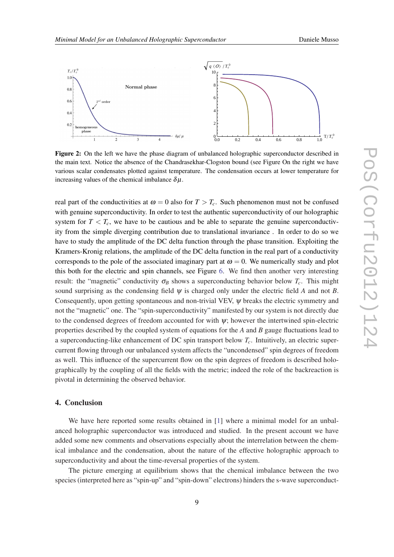<span id="page-8-0"></span>

Figure 2: On the left we have the phase diagram of unbalanced holographic superconductor described in the main text. Notice the absence of the Chandrasekhar-Clogston bound (see Figure On the right we have various scalar condensates plotted against temperature. The condensation occurs at lower temperature for increasing values of the chemical imbalance  $\delta \mu$ .

real part of the conductivities at  $\omega = 0$  also for  $T > T_c$ . Such phenomenon must not be confused with genuine superconductivity. In order to test the authentic superconductivity of our holographic system for  $T < T_c$ , we have to be cautious and be able to separate the genuine superconductivity from the simple diverging contribution due to translational invariance . In order to do so we have to study the amplitude of the DC delta function through the phase transition. Exploiting the Kramers-Kronig relations, the amplitude of the DC delta function in the real part of a conductivity corresponds to the pole of the associated imaginary part at  $\omega = 0$ . We numerically study and plot this both for the electric and spin channels, see Figure [6](#page-11-0). We find then another very interesting result: the "magnetic" conductivity  $\sigma_B$  shows a superconducting behavior below  $T_c$ . This might sound surprising as the condensing field  $\psi$  is charged only under the electric field A and not B. Consequently, upon getting spontaneous and non-trivial VEV, ψ breaks the electric symmetry and not the "magnetic" one. The "spin-superconductivity" manifested by our system is not directly due to the condensed degrees of freedom accounted for with  $\psi$ ; however the intertwined spin-electric properties described by the coupled system of equations for the *A* and *B* gauge fluctuations lead to a superconducting-like enhancement of DC spin transport below *Tc*. Intuitively, an electric supercurrent flowing through our unbalanced system affects the "uncondensed" spin degrees of freedom as well. This influence of the supercurrent flow on the spin degrees of freedom is described holographically by the coupling of all the fields with the metric; indeed the role of the backreaction is pivotal in determining the observed behavior.

### 4. Conclusion

We have here reported some results obtained in [[1](#page-11-0)] where a minimal model for an unbalanced holographic superconductor was introduced and studied. In the present account we have added some new comments and observations especially about the interrelation between the chemical imbalance and the condensation, about the nature of the effective holographic approach to superconductivity and about the time-reversal properties of the system.

The picture emerging at equilibrium shows that the chemical imbalance between the two species (interpreted here as "spin-up" and "spin-down" electrons) hinders the s-wave superconduct-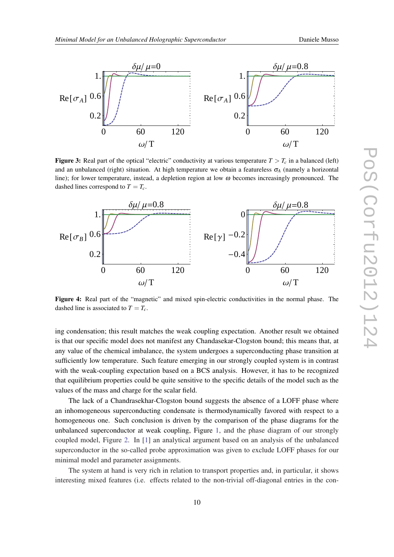



**Figure 3:** Real part of the optical "electric" conductivity at various temperature  $T > T_c$  in a balanced (left) and an unbalanced (right) situation. At high temperature we obtain a featureless  $\sigma_A$  (namely a horizontal line); for lower temperature, instead, a depletion region at low  $\omega$  becomes increasingly pronounced. The dashed lines correspond to  $T = T_c$ .



Figure 4: Real part of the "magnetic" and mixed spin-electric conductivities in the normal phase. The dashed line is associated to  $T = T_c$ .

ing condensation; this result matches the weak coupling expectation. Another result we obtained is that our specific model does not manifest any Chandasekar-Clogston bound; this means that, at any value of the chemical imbalance, the system undergoes a superconducting phase transition at sufficiently low temperature. Such feature emerging in our strongly coupled system is in contrast with the weak-coupling expectation based on a BCS analysis. However, it has to be recognized that equilibrium properties could be quite sensitive to the specific details of the model such as the values of the mass and charge for the scalar field.

The lack of a Chandrasekhar-Clogston bound suggests the absence of a LOFF phase where an inhomogeneous superconducting condensate is thermodynamically favored with respect to a homogeneous one. Such conclusion is driven by the comparison of the phase diagrams for the unbalanced superconductor at weak coupling, Figure [1](#page-3-0), and the phase diagram of our strongly coupled model, Figure [2](#page-8-0). In [[1](#page-11-0)] an analytical argument based on an analysis of the unbalanced superconductor in the so-called probe approximation was given to exclude LOFF phases for our minimal model and parameter assignments.

The system at hand is very rich in relation to transport properties and, in particular, it shows interesting mixed features (i.e. effects related to the non-trivial off-diagonal entries in the con-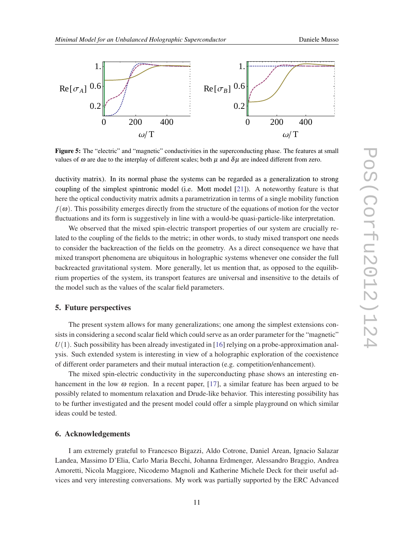

Figure 5: The "electric" and "magnetic" conductivities in the superconducting phase. The features at small values of  $\omega$  are due to the interplay of different scales; both  $\mu$  and  $\delta\mu$  are indeed different from zero.

ductivity matrix). In its normal phase the systems can be regarded as a generalization to strong coupling of the simplest spintronic model (i.e. Mott model [[21\]](#page-13-0)). A noteworthy feature is that here the optical conductivity matrix admits a parametrization in terms of a single mobility function  $f(\omega)$ . This possibility emerges directly from the structure of the equations of motion for the vector fluctuations and its form is suggestively in line with a would-be quasi-particle-like interpretation.

We observed that the mixed spin-electric transport properties of our system are crucially related to the coupling of the fields to the metric; in other words, to study mixed transport one needs to consider the backreaction of the fields on the geometry. As a direct consequence we have that mixed transport phenomena are ubiquitous in holographic systems whenever one consider the full backreacted gravitational system. More generally, let us mention that, as opposed to the equilibrium properties of the system, its transport features are universal and insensitive to the details of the model such as the values of the scalar field parameters.

#### 5. Future perspectives

The present system allows for many generalizations; one among the simplest extensions consists in considering a second scalar field which could serve as an order parameter for the "magnetic"  $U(1)$ . Such possibility has been already investigated in [[16\]](#page-12-0) relying on a probe-approximation analysis. Such extended system is interesting in view of a holographic exploration of the coexistence of different order parameters and their mutual interaction (e.g. competition/enhancement).

The mixed spin-electric conductivity in the superconducting phase shows an interesting enhancement in the low  $\omega$  region. In a recent paper, [[17\]](#page-12-0), a similar feature has been argued to be possibly related to momentum relaxation and Drude-like behavior. This interesting possibility has to be further investigated and the present model could offer a simple playground on which similar ideas could be tested.

### 6. Acknowledgements

I am extremely grateful to Francesco Bigazzi, Aldo Cotrone, Daniel Arean, Ignacio Salazar Landea, Massimo D'Elia, Carlo Maria Becchi, Johanna Erdmenger, Alessandro Braggio, Andrea Amoretti, Nicola Maggiore, Nicodemo Magnoli and Katherine Michele Deck for their useful advices and very interesting conversations. My work was partially supported by the ERC Advanced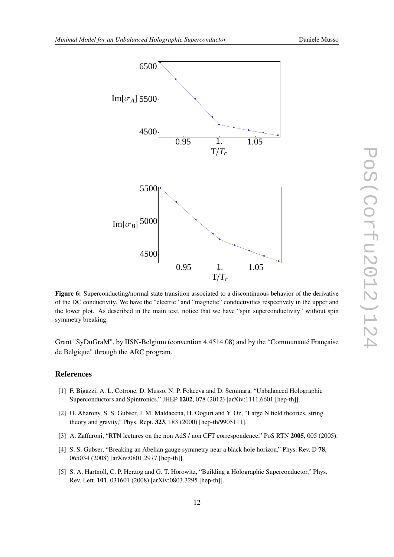<span id="page-11-0"></span>

Figure 6: Superconducting/normal state transition associated to a discontinuous behavior of the derivative of the DC conductivity. We have the "electric" and "magnetic" conductivities respectively in the upper and the lower plot. As described in the main text, notice that we have "spin superconductivity" without spin symmetry breaking.

Grant "SyDuGraM", by IISN-Belgium (convention 4.4514.08) and by the "Communauté Française de Belgique" through the ARC program.

# References

- [1] F. Bigazzi, A. L. Cotrone, D. Musso, N. P. Fokeeva and D. Seminara, "Unbalanced Holographic Superconductors and Spintronics," JHEP 1202, 078 (2012) [arXiv:1111.6601 [hep-th]].
- [2] O. Aharony, S. S. Gubser, J. M. Maldacena, H. Ooguri and Y. Oz, "Large N field theories, string theory and gravity," Phys. Rept. 323, 183 (2000) [hep-th/9905111].
- [3] A. Zaffaroni, "RTN lectures on the non AdS / non CFT correspondence," PoS RTN 2005, 005 (2005).
- [4] S. S. Gubser, "Breaking an Abelian gauge symmetry near a black hole horizon," Phys. Rev. D 78, 065034 (2008) [arXiv:0801.2977 [hep-th]].
- [5] S. A. Hartnoll, C. P. Herzog and G. T. Horowitz, "Building a Holographic Superconductor," Phys. Rev. Lett. 101, 031601 (2008) [arXiv:0803.3295 [hep-th]].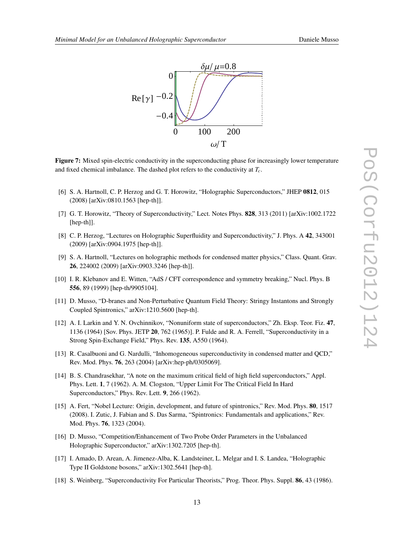<span id="page-12-0"></span>

Figure 7: Mixed spin-electric conductivity in the superconducting phase for increasingly lower temperature and fixed chemical imbalance. The dashed plot refers to the conductivity at *Tc*.

- [6] S. A. Hartnoll, C. P. Herzog and G. T. Horowitz, "Holographic Superconductors," JHEP 0812, 015 (2008) [arXiv:0810.1563 [hep-th]].
- [7] G. T. Horowitz, "Theory of Superconductivity," Lect. Notes Phys. 828, 313 (2011) [arXiv:1002.1722 [hep-th]].
- [8] C. P. Herzog, "Lectures on Holographic Superfluidity and Superconductivity," J. Phys. A 42, 343001 (2009) [arXiv:0904.1975 [hep-th]].
- [9] S. A. Hartnoll, "Lectures on holographic methods for condensed matter physics," Class. Quant. Grav. 26, 224002 (2009) [arXiv:0903.3246 [hep-th]].
- [10] I. R. Klebanov and E. Witten, "AdS / CFT correspondence and symmetry breaking," Nucl. Phys. B 556, 89 (1999) [hep-th/9905104].
- [11] D. Musso, "D-branes and Non-Perturbative Quantum Field Theory: Stringy Instantons and Strongly Coupled Spintronics," arXiv:1210.5600 [hep-th].
- [12] A. I. Larkin and Y. N. Ovchinnikov, "Nonuniform state of superconductors," Zh. Eksp. Teor. Fiz. 47, 1136 (1964) [Sov. Phys. JETP 20, 762 (1965)]. P. Fulde and R. A. Ferrell, "Superconductivity in a Strong Spin-Exchange Field," Phys. Rev. 135, A550 (1964).
- [13] R. Casalbuoni and G. Nardulli, "Inhomogeneous superconductivity in condensed matter and QCD," Rev. Mod. Phys. 76, 263 (2004) [arXiv:hep-ph/0305069].
- [14] B. S. Chandrasekhar, "A note on the maximum critical field of high field superconductors," Appl. Phys. Lett. 1, 7 (1962). A. M. Clogston, "Upper Limit For The Critical Field In Hard Superconductors," Phys. Rev. Lett. 9, 266 (1962).
- [15] A. Fert, "Nobel Lecture: Origin, development, and future of spintronics," Rev. Mod. Phys. 80, 1517 (2008). I. Zutic, J. Fabian and S. Das Sarma, "Spintronics: Fundamentals and applications," Rev. Mod. Phys. 76, 1323 (2004).
- [16] D. Musso, "Competition/Enhancement of Two Probe Order Parameters in the Unbalanced Holographic Superconductor," arXiv:1302.7205 [hep-th].
- [17] I. Amado, D. Arean, A. Jimenez-Alba, K. Landsteiner, L. Melgar and I. S. Landea, "Holographic Type II Goldstone bosons," arXiv:1302.5641 [hep-th].
- [18] S. Weinberg, "Superconductivity For Particular Theorists," Prog. Theor. Phys. Suppl. 86, 43 (1986).